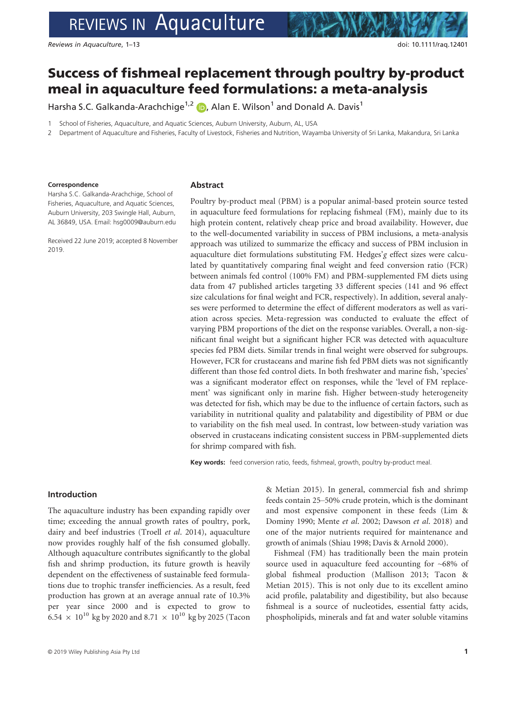# Success of fishmeal replacement through poultry by-product meal in aquaculture feed formulations: a meta-analysis

Harsha S.C. Galkanda-Arachchige<sup>1,2</sup> (D, Alan E. Wilson<sup>1</sup> and Donald A. Davis<sup>1</sup>

School of Fisheries, Aquaculture, and Aquatic Sciences, Auburn University, Auburn, AL, USA

2 Department of Aquaculture and Fisheries, Faculty of Livestock, Fisheries and Nutrition, Wayamba University of Sri Lanka, Makandura, Sri Lanka

#### Correspondence

Abstract

Harsha S.C. Galkanda-Arachchige, School of Fisheries, Aquaculture, and Aquatic Sciences, Auburn University, 203 Swingle Hall, Auburn, AL 36849, USA. Email: [hsg0009@auburn.edu](mailto:)

Received 22 June 2019; accepted 8 November 2019.

Poultry by-product meal (PBM) is a popular animal-based protein source tested in aquaculture feed formulations for replacing fishmeal (FM), mainly due to its high protein content, relatively cheap price and broad availability. However, due to the well-documented variability in success of PBM inclusions, a meta-analysis approach was utilized to summarize the efficacy and success of PBM inclusion in aquaculture diet formulations substituting FM. Hedges'g effect sizes were calculated by quantitatively comparing final weight and feed conversion ratio (FCR) between animals fed control (100% FM) and PBM-supplemented FM diets using data from 47 published articles targeting 33 different species (141 and 96 effect size calculations for final weight and FCR, respectively). In addition, several analyses were performed to determine the effect of different moderators as well as variation across species. Meta-regression was conducted to evaluate the effect of varying PBM proportions of the diet on the response variables. Overall, a non-significant final weight but a significant higher FCR was detected with aquaculture species fed PBM diets. Similar trends in final weight were observed for subgroups. However, FCR for crustaceans and marine fish fed PBM diets was not significantly different than those fed control diets. In both freshwater and marine fish, 'species' was a significant moderator effect on responses, while the 'level of FM replacement' was significant only in marine fish. Higher between-study heterogeneity was detected for fish, which may be due to the influence of certain factors, such as variability in nutritional quality and palatability and digestibility of PBM or due to variability on the fish meal used. In contrast, low between-study variation was observed in crustaceans indicating consistent success in PBM-supplemented diets for shrimp compared with fish.

Key words: feed conversion ratio, feeds, fishmeal, growth, poultry by-product meal.

#### Introduction

The aquaculture industry has been expanding rapidly over time; exceeding the annual growth rates of poultry, pork, dairy and beef industries (Troell et al. 2014), aquaculture now provides roughly half of the fish consumed globally. Although aquaculture contributes significantly to the global fish and shrimp production, its future growth is heavily dependent on the effectiveness of sustainable feed formulations due to trophic transfer inefficiencies. As a result, feed production has grown at an average annual rate of 10.3% per year since 2000 and is expected to grow to 6.54  $\times$  10<sup>10</sup> kg by 2020 and 8.71  $\times$  10<sup>10</sup> kg by 2025 (Tacon

& Metian 2015). In general, commercial fish and shrimp feeds contain 25–50% crude protein, which is the dominant and most expensive component in these feeds (Lim & Dominy 1990; Mente et al. 2002; Dawson et al. 2018) and one of the major nutrients required for maintenance and growth of animals (Shiau 1998; Davis & Arnold 2000).

Fishmeal (FM) has traditionally been the main protein source used in aquaculture feed accounting for ~68% of global fishmeal production (Mallison 2013; Tacon & Metian 2015). This is not only due to its excellent amino acid profile, palatability and digestibility, but also because fishmeal is a source of nucleotides, essential fatty acids, phospholipids, minerals and fat and water soluble vitamins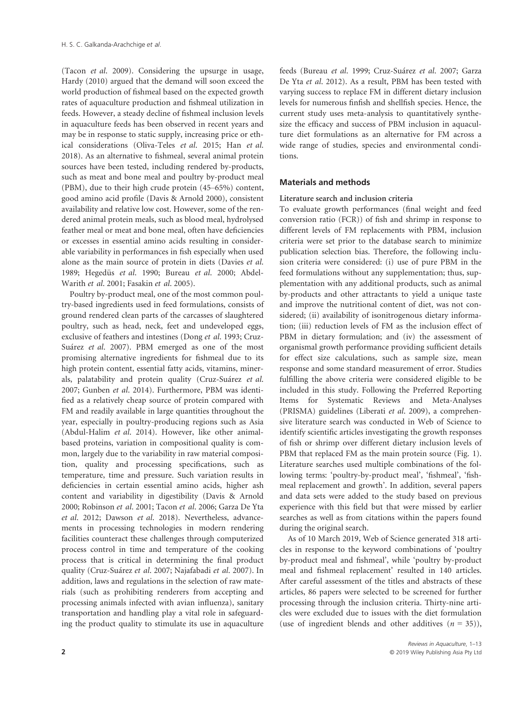(Tacon et al. 2009). Considering the upsurge in usage, Hardy (2010) argued that the demand will soon exceed the world production of fishmeal based on the expected growth rates of aquaculture production and fishmeal utilization in feeds. However, a steady decline of fishmeal inclusion levels in aquaculture feeds has been observed in recent years and may be in response to static supply, increasing price or ethical considerations (Oliva-Teles et al. 2015; Han et al. 2018). As an alternative to fishmeal, several animal protein sources have been tested, including rendered by-products, such as meat and bone meal and poultry by-product meal (PBM), due to their high crude protein (45–65%) content, good amino acid profile (Davis & Arnold 2000), consistent availability and relative low cost. However, some of the rendered animal protein meals, such as blood meal, hydrolysed feather meal or meat and bone meal, often have deficiencies or excesses in essential amino acids resulting in considerable variability in performances in fish especially when used alone as the main source of protein in diets (Davies et al. 1989; Hegedüs et al. 1990; Bureau et al. 2000; Abdel-Warith et al. 2001; Fasakin et al. 2005).

Poultry by-product meal, one of the most common poultry-based ingredients used in feed formulations, consists of ground rendered clean parts of the carcasses of slaughtered poultry, such as head, neck, feet and undeveloped eggs, exclusive of feathers and intestines (Dong et al. 1993; Cruz-Suárez *et al*. 2007). PBM emerged as one of the most promising alternative ingredients for fishmeal due to its high protein content, essential fatty acids, vitamins, minerals, palatability and protein quality (Cruz-Suárez *et al*. 2007; Gunben et al. 2014). Furthermore, PBM was identified as a relatively cheap source of protein compared with FM and readily available in large quantities throughout the year, especially in poultry-producing regions such as Asia (Abdul-Halim et al. 2014). However, like other animalbased proteins, variation in compositional quality is common, largely due to the variability in raw material composition, quality and processing specifications, such as temperature, time and pressure. Such variation results in deficiencies in certain essential amino acids, higher ash content and variability in digestibility (Davis & Arnold 2000; Robinson et al. 2001; Tacon et al. 2006; Garza De Yta et al. 2012; Dawson et al. 2018). Nevertheless, advancements in processing technologies in modern rendering facilities counteract these challenges through computerized process control in time and temperature of the cooking process that is critical in determining the final product quality (Cruz-Suárez *et al*. 2007; Najafabadi *et al*. 2007). In addition, laws and regulations in the selection of raw materials (such as prohibiting renderers from accepting and processing animals infected with avian influenza), sanitary transportation and handling play a vital role in safeguarding the product quality to stimulate its use in aquaculture

feeds (Bureau *et al*. 1999; Cruz-Suárez *et al*. 2007; Garza De Yta et al. 2012). As a result, PBM has been tested with varying success to replace FM in different dietary inclusion levels for numerous finfish and shellfish species. Hence, the current study uses meta-analysis to quantitatively synthesize the efficacy and success of PBM inclusion in aquaculture diet formulations as an alternative for FM across a wide range of studies, species and environmental conditions.

## Materials and methods

## Literature search and inclusion criteria

To evaluate growth performances (final weight and feed conversion ratio (FCR)) of fish and shrimp in response to different levels of FM replacements with PBM, inclusion criteria were set prior to the database search to minimize publication selection bias. Therefore, the following inclusion criteria were considered: (i) use of pure PBM in the feed formulations without any supplementation; thus, supplementation with any additional products, such as animal by-products and other attractants to yield a unique taste and improve the nutritional content of diet, was not considered; (ii) availability of isonitrogenous dietary information; (iii) reduction levels of FM as the inclusion effect of PBM in dietary formulation; and (iv) the assessment of organismal growth performance providing sufficient details for effect size calculations, such as sample size, mean response and some standard measurement of error. Studies fulfilling the above criteria were considered eligible to be included in this study. Following the Preferred Reporting Items for Systematic Reviews and Meta-Analyses (PRISMA) guidelines (Liberati et al. 2009), a comprehensive literature search was conducted in Web of Science to identify scientific articles investigating the growth responses of fish or shrimp over different dietary inclusion levels of PBM that replaced FM as the main protein source (Fig. 1). Literature searches used multiple combinations of the following terms: 'poultry-by-product meal', 'fishmeal', 'fishmeal replacement and growth'. In addition, several papers and data sets were added to the study based on previous experience with this field but that were missed by earlier searches as well as from citations within the papers found during the original search.

As of 10 March 2019, Web of Science generated 318 articles in response to the keyword combinations of 'poultry by-product meal and fishmeal', while 'poultry by-product meal and fishmeal replacement' resulted in 140 articles. After careful assessment of the titles and abstracts of these articles, 86 papers were selected to be screened for further processing through the inclusion criteria. Thirty-nine articles were excluded due to issues with the diet formulation (use of ingredient blends and other additives  $(n = 35)$ ),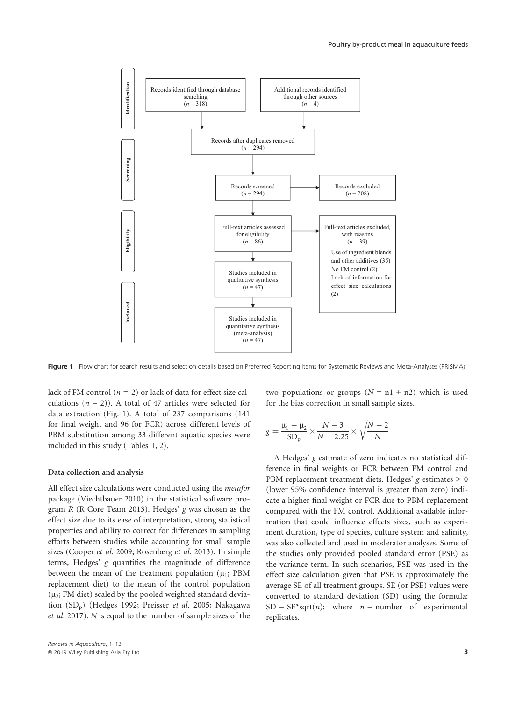

Figure 1 Flow chart for search results and selection details based on Preferred Reporting Items for Systematic Reviews and Meta-Analyses (PRISMA).

lack of FM control ( $n = 2$ ) or lack of data for effect size calculations  $(n = 2)$ ). A total of 47 articles were selected for data extraction (Fig. 1). A total of 237 comparisons (141 for final weight and 96 for FCR) across different levels of PBM substitution among 33 different aquatic species were included in this study (Tables 1, 2).

#### Data collection and analysis

All effect size calculations were conducted using the metafor package (Viechtbauer 2010) in the statistical software program R (R Core Team 2013). Hedges' g was chosen as the effect size due to its ease of interpretation, strong statistical properties and ability to correct for differences in sampling efforts between studies while accounting for small sample sizes (Cooper et al. 2009; Rosenberg et al. 2013). In simple terms, Hedges' g quantifies the magnitude of difference between the mean of the treatment population ( $\mu_1$ ; PBM replacement diet) to the mean of the control population  $(\mu_2; FM$  diet) scaled by the pooled weighted standard deviation  $(SD_p)$  (Hedges 1992; Preisser *et al.* 2005; Nakagawa et al. 2017). N is equal to the number of sample sizes of the two populations or groups  $(N = n1 + n2)$  which is used for the bias correction in small sample sizes.

$$
g = \frac{\mu_1 - \mu_2}{SD_p} \times \frac{N - 3}{N - 2.25} \times \sqrt{\frac{N - 2}{N}}
$$

A Hedges' g estimate of zero indicates no statistical difference in final weights or FCR between FM control and PBM replacement treatment diets. Hedges' g estimates  $> 0$ (lower 95% confidence interval is greater than zero) indicate a higher final weight or FCR due to PBM replacement compared with the FM control. Additional available information that could influence effects sizes, such as experiment duration, type of species, culture system and salinity, was also collected and used in moderator analyses. Some of the studies only provided pooled standard error (PSE) as the variance term. In such scenarios, PSE was used in the effect size calculation given that PSE is approximately the average SE of all treatment groups. SE (or PSE) values were converted to standard deviation (SD) using the formula:  $SD = SE*sqrt(n);$  where  $n =$  number of experimental replicates.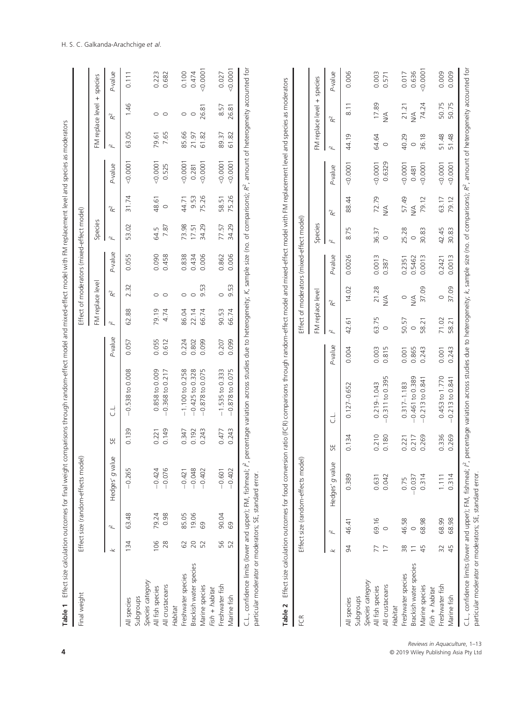| Final weight                                                                                                                   |                          |               | del)<br>Effect size (random-effects mo                                                                                                                                              |                |                                                                                                                                                           |                | Effect o         |                     | of moderators (mixed-effect model)        |                  |                        |                  |                    |                            |                 |
|--------------------------------------------------------------------------------------------------------------------------------|--------------------------|---------------|-------------------------------------------------------------------------------------------------------------------------------------------------------------------------------------|----------------|-----------------------------------------------------------------------------------------------------------------------------------------------------------|----------------|------------------|---------------------|-------------------------------------------|------------------|------------------------|------------------|--------------------|----------------------------|-----------------|
|                                                                                                                                |                          |               |                                                                                                                                                                                     |                |                                                                                                                                                           |                |                  | FM replace level    |                                           | Species          |                        |                  |                    | FM replace level + species |                 |
|                                                                                                                                | $\overline{\phantom{a}}$ | R             | Hedges' g value                                                                                                                                                                     | 55             | $\frac{1}{\cup}$                                                                                                                                          | P-value        | Ľ                | R <sup>2</sup>      | P-value                                   | R                | $\approx$              | P-value          | $\sim$             | $R^2$                      | P-value         |
| Subgroups<br>All species                                                                                                       | 134                      | 63.48         | $-0.265$                                                                                                                                                                            | 0.139          | $-0.538$ to 0.008                                                                                                                                         | 0.057          | 62.88            | 2.32                | 0.055                                     | 53.02            | 31.74                  | 0.0001           | 63.05              | 1.46                       | 0.111           |
| Species category<br>All crustaceans<br>All fish species                                                                        | 106<br>28                | 0.98<br>79.24 | $-0.424$<br>$-0.076$                                                                                                                                                                | 0.149<br>0.221 | 0.858 to 0.009<br>$-0.368$ to 0.217                                                                                                                       | 0.055<br>0.612 | 79.19<br>4.74    | $\circ$<br>$\circ$  | 0.090<br>0.458                            | 7.87<br>64.5     | 48.61<br>$\circ$       | 0.0001<br>0.525  | 7.65<br>79.61      | $\circ$<br>$\circ$         | 0.223<br>0.682  |
| Freshwater species<br>Habitat                                                                                                  | 62                       | 85.05         | $-0.421$                                                                                                                                                                            | 0.347          | $-1.100$ to 0.258                                                                                                                                         | 0.224          | 86.04            | $\circ$             | 0.838                                     | 73.98            | 44.71                  | 0.0001           | 85.66              | $\circ$                    | 0.100           |
| Brackish water species<br>Marine species                                                                                       | 20<br>52                 | 19.06<br>69   | $-0.048$<br>$-0.402$                                                                                                                                                                | 0.192<br>0.243 | $-0.425$ to 0.328<br>$-0.878$ to 0.075                                                                                                                    | 0.099<br>0.802 | 22.14<br>66.74   | 53<br>o,<br>$\circ$ | 0.006<br>0.434                            | 34.29<br>17.51   | 75.26<br>9.53          | 0.0001<br>0.281  | 21.97<br>61.82     | 26.81<br>$\circ$           | 0.0001<br>0.474 |
| Freshwater fish<br>Fish + habitat<br>Marine fish                                                                               | 56<br>52                 | 90.04<br>69   | $-0.601$<br>$-0.402$                                                                                                                                                                | 0.243<br>0.477 | $-1.535$ to 0.333<br>$-0.878$ to 0.075                                                                                                                    | 0.099<br>0.207 | 90.53<br>66.74   | 9.53<br>$\circ$     | 0.006<br>0.862                            | 34.29<br>77.57   | 75.26<br>58.51         | 0.0001<br>0.0001 | 57<br>61.82<br>89. | 8.57<br>26.81              | 0.0001<br>0.027 |
| C.L., confidence limits (lower and upper); FM, fishmeal;<br>particular moderator or moderators; SE, standard error.<br>Table 2 |                          |               | Effect size calculation outcomes for food conversion ratio (FCR) comparisons through random-effect model and mixed-effect model with FM replacement level and species as moderators |                | ia, percentage variation across studies due to heterogeneity; K, sample size (no. of comparisons); R <sup>2</sup> , amount of heterogeneity accounted for |                |                  |                     |                                           |                  |                        |                  |                    |                            |                 |
| FCR                                                                                                                            |                          |               | Effect size (random-effects model)                                                                                                                                                  |                |                                                                                                                                                           |                |                  |                     | Effect of moderators (mixed-effect model) |                  |                        |                  |                    |                            |                 |
|                                                                                                                                |                          |               |                                                                                                                                                                                     |                |                                                                                                                                                           |                | FM replace level |                     |                                           | Species          |                        |                  |                    | FM replace level           | + species       |
|                                                                                                                                | $\overline{\phantom{a}}$ | 2             | $\mathbf{\underline{\omega}}$<br>Hedges' g valu                                                                                                                                     | 55             | $\frac{1}{\cup}$                                                                                                                                          | P-value        | R                | $\approx$           | P-value                                   | R                | $R^2$                  | P-value          | Ľ                  | $\approx$                  | P-value         |
| Subgroups<br>All species                                                                                                       | $\overline{5}$           | 46.41         | 0.389                                                                                                                                                                               | 0.134          | $0.127 - 0.652$                                                                                                                                           | 0.004          | 42.61            | 14.02               | 0.0026                                    | 8.75             | 88.44                  | 0.0001           | 44.19              | $\overline{8.11}$          | 0.006           |
| Species category<br>All crustaceans<br>All fish species                                                                        |                          | 69.16         | 0.042<br>0.631                                                                                                                                                                      | 0.210<br>0.180 | $-0.311$ to 0.395<br>$0.219 - 1.043$                                                                                                                      | 0.815<br>0.003 | 63.75<br>$\circ$ | 21.28<br>$\leq$     | 0.0013<br>0.387                           | 36.37<br>$\circ$ | 72.79<br>$\frac{4}{2}$ | 0.6329<br>0.0001 | 64.64<br>$\circ$   | 17.89<br>$\leq$            | 0.003<br>0.571  |

C.L., confidence limits (lower and upper); FM, fishmeal; P, percentage variation across studies due to heterogeneity; k, sample size (no. of comparisons); R, amount of heterogeneity accounted for C.L., confidence limits (lower and upper); FM, fishmeal; I2, percentage variation across studies due to heterogeneity; k, sample size (no. of comparisons); R2, amount of heterogeneity accounted for particular moderator or moderators; SE, standard error. particular moderator or moderators; SE, standard error.

Freshwater fish 32 68.99 1.111 0.336 0.453 to 1.770 0.001 71.02 0 0.2421 42.45 63.17 <0.0001 51.48 50.75 0.009

0.001<br>0.243

0.453 to 1.770<br>-0.213 to 0.841

0.336<br>0.269

 $1.111$ <br>0.314

0.461 to 0.389 0.865 0 N/A 0.5462 0 N/A 0.481 0 N/A 0.636

0.2351<br>0.5462<br>0.0013

25.28 30.83  $\circ$ 

 $0.017$ <br>0.636<br><0.0001

 $21.21$ <br>
MA<br>
74.24

 $\circ$ 

0.481

57.49<br>N/A<br>79.12

40.29

 $0.0001$ 

36.18

 $0.0001$ 

0.009

50.75<br>50.75

51.48<br>51.48

 $0.0001$  $0.0001$ 

63.17<br>79.12

42.45<br>30.83

0.2421<br>0.0013

 $0.09$ <br>37.09

71.02<br>58.21

0.213 to 0.841 0.243 58.21 37.09 0.0013 30.83 79.12 <0.0001 36.18 74.24 <0.0001

0.213 to 0.841 0.243 58.21 37.09 0.0013 30.83 79.12 <0.0001 51.48 50.75 0.009

Freshwater species 38 46.58 0.75 0.221 0.317–1.183 0.001 50.57 0 0.2351 25.28 57.49 <0.0001 40.29 21.21 0.017

0.001

 $0.317 - 1.183$ 

0.865 0.243

 $-0.461$  to 0.389  $-0.213$  to 0.841

50.57  $0$ <br>58.21

Reviews in Aquaculture, 1–13

Fish + habitat

Freshwater fish Fish + habitat

Marine fish

Marine species

Habitat

Brackish water species 11 0

Brackish water species Freshwater species

 $\frac{8}{2}$  =  $\frac{1}{2}$ 

46.58  $0$ <br>68.98

Marine species 45 68.98 0.314 0.269 -

0.314  $-0.037$  $0.75$ 

Marine fish 45 68.98 0.314 0.269 -

68.99<br>68.98

 $\frac{2}{3}$ 

0.037 0.217 -

0.221<br>0.217<br>0.269

© 2019 Wiley Publishing Asia Pty Ltd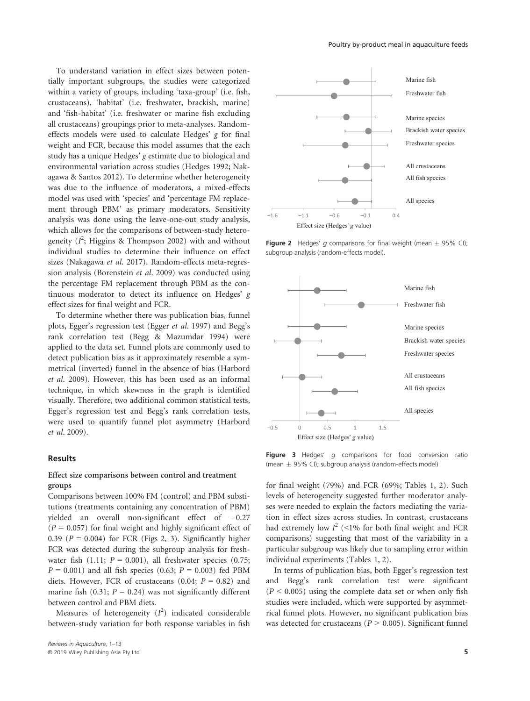To understand variation in effect sizes between potentially important subgroups, the studies were categorized within a variety of groups, including 'taxa-group' (i.e. fish, crustaceans), 'habitat' (i.e. freshwater, brackish, marine) and 'fish-habitat' (i.e. freshwater or marine fish excluding all crustaceans) groupings prior to meta-analyses. Randomeffects models were used to calculate Hedges' g for final weight and FCR, because this model assumes that the each study has a unique Hedges' g estimate due to biological and environmental variation across studies (Hedges 1992; Nakagawa & Santos 2012). To determine whether heterogeneity was due to the influence of moderators, a mixed-effects model was used with 'species' and 'percentage FM replacement through PBM' as primary moderators. Sensitivity analysis was done using the leave-one-out study analysis, which allows for the comparisons of between-study heterogeneity  $(I^2$ ; Higgins & Thompson 2002) with and without individual studies to determine their influence on effect sizes (Nakagawa et al. 2017). Random-effects meta-regression analysis (Borenstein et al. 2009) was conducted using the percentage FM replacement through PBM as the continuous moderator to detect its influence on Hedges' g effect sizes for final weight and FCR.

To determine whether there was publication bias, funnel plots, Egger's regression test (Egger et al. 1997) and Begg's rank correlation test (Begg & Mazumdar 1994) were applied to the data set. Funnel plots are commonly used to detect publication bias as it approximately resemble a symmetrical (inverted) funnel in the absence of bias (Harbord et al. 2009). However, this has been used as an informal technique, in which skewness in the graph is identified visually. Therefore, two additional common statistical tests, Egger's regression test and Begg's rank correlation tests, were used to quantify funnel plot asymmetry (Harbord et al. 2009).

#### Results

## Effect size comparisons between control and treatment groups

Comparisons between 100% FM (control) and PBM substitutions (treatments containing any concentration of PBM)  $yielded$  an overall non-significant effect of  $-0.27$  $(P = 0.057)$  for final weight and highly significant effect of 0.39 ( $P = 0.004$ ) for FCR (Figs 2, 3). Significantly higher FCR was detected during the subgroup analysis for freshwater fish (1.11;  $P = 0.001$ ), all freshwater species (0.75;  $P = 0.001$ ) and all fish species (0.63;  $P = 0.003$ ) fed PBM diets. However, FCR of crustaceans  $(0.04; P = 0.82)$  and marine fish (0.31;  $P = 0.24$ ) was not significantly different between control and PBM diets.

Measures of heterogeneity  $(I^2)$  indicated considerable between-study variation for both response variables in fish



**Figure 2** Hedges' g comparisons for final weight (mean  $\pm$  95% CI); subgroup analysis (random-effects model).



Figure 3 Hedges'  $g$  comparisons for food conversion ratio (mean  $\pm$  95% CI); subgroup analysis (random-effects model)

for final weight (79%) and FCR (69%; Tables 1, 2). Such levels of heterogeneity suggested further moderator analyses were needed to explain the factors mediating the variation in effect sizes across studies. In contrast, crustaceans had extremely low  $I^2$  (<1% for both final weight and FCR comparisons) suggesting that most of the variability in a particular subgroup was likely due to sampling error within individual experiments (Tables 1, 2).

In terms of publication bias, both Egger's regression test and Begg's rank correlation test were significant  $(P < 0.005)$  using the complete data set or when only fish studies were included, which were supported by asymmetrical funnel plots. However, no significant publication bias was detected for crustaceans ( $P > 0.005$ ). Significant funnel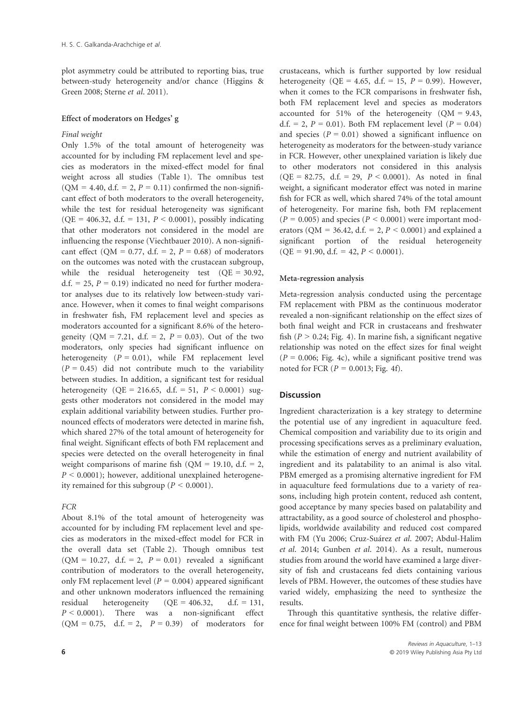plot asymmetry could be attributed to reporting bias, true between-study heterogeneity and/or chance (Higgins & Green 2008; Sterne et al. 2011).

#### Effect of moderators on Hedges' g

#### Final weight

Only 1.5% of the total amount of heterogeneity was accounted for by including FM replacement level and species as moderators in the mixed-effect model for final weight across all studies (Table 1). The omnibus test (QM = 4.40, d.f. = 2,  $P = 0.11$ ) confirmed the non-significant effect of both moderators to the overall heterogeneity, while the test for residual heterogeneity was significant  $(QE = 406.32, d.f. = 131, P < 0.0001)$ , possibly indicating that other moderators not considered in the model are influencing the response (Viechtbauer 2010). A non-significant effect (QM = 0.77, d.f. = 2,  $P = 0.68$ ) of moderators on the outcomes was noted with the crustacean subgroup, while the residual heterogeneity test  $(QE = 30.92,$ d.f. = 25,  $P = 0.19$ ) indicated no need for further moderator analyses due to its relatively low between-study variance. However, when it comes to final weight comparisons in freshwater fish, FM replacement level and species as moderators accounted for a significant 8.6% of the heterogeneity (QM = 7.21, d.f. = 2,  $P = 0.03$ ). Out of the two moderators, only species had significant influence on heterogeneity ( $P = 0.01$ ), while FM replacement level  $(P = 0.45)$  did not contribute much to the variability between studies. In addition, a significant test for residual heterogeneity (QE = 216.65, d.f. = 51,  $P < 0.0001$ ) suggests other moderators not considered in the model may explain additional variability between studies. Further pronounced effects of moderators were detected in marine fish, which shared 27% of the total amount of heterogeneity for final weight. Significant effects of both FM replacement and species were detected on the overall heterogeneity in final weight comparisons of marine fish ( $QM = 19.10$ , d.f. = 2,  $P < 0.0001$ ); however, additional unexplained heterogeneity remained for this subgroup ( $P \le 0.0001$ ).

## FCR

About 8.1% of the total amount of heterogeneity was accounted for by including FM replacement level and species as moderators in the mixed-effect model for FCR in the overall data set (Table 2). Though omnibus test  $(QM = 10.27, d.f. = 2, P = 0.01)$  revealed a significant contribution of moderators to the overall heterogeneity, only FM replacement level ( $P = 0.004$ ) appeared significant and other unknown moderators influenced the remaining residual heterogeneity  $(QE = 406.32, d.f. = 131,$  $P < 0.0001$ ). There was a non-significant effect  $(OM = 0.75, d.f. = 2, P = 0.39)$  of moderators for

crustaceans, which is further supported by low residual heterogeneity (QE = 4.65, d.f. = 15,  $P = 0.99$ ). However, when it comes to the FCR comparisons in freshwater fish, both FM replacement level and species as moderators accounted for 51% of the heterogeneity ( $QM = 9.43$ , d.f. = 2,  $P = 0.01$ ). Both FM replacement level ( $P = 0.04$ ) and species ( $P = 0.01$ ) showed a significant influence on heterogeneity as moderators for the between-study variance in FCR. However, other unexplained variation is likely due to other moderators not considered in this analysis  $(QE = 82.75, d.f. = 29, P < 0.0001)$ . As noted in final weight, a significant moderator effect was noted in marine fish for FCR as well, which shared 74% of the total amount of heterogeneity. For marine fish, both FM replacement  $(P = 0.005)$  and species  $(P < 0.0001)$  were important moderators (QM = 36.42, d.f. = 2,  $P < 0.0001$ ) and explained a significant portion of the residual heterogeneity  $(QE = 91.90, d.f. = 42, P < 0.0001).$ 

### Meta-regression analysis

Meta-regression analysis conducted using the percentage FM replacement with PBM as the continuous moderator revealed a non-significant relationship on the effect sizes of both final weight and FCR in crustaceans and freshwater fish ( $P > 0.24$ ; Fig. 4). In marine fish, a significant negative relationship was noted on the effect sizes for final weight  $(P = 0.006;$  Fig. 4c), while a significant positive trend was noted for FCR ( $P = 0.0013$ ; Fig. 4f).

## **Discussion**

Ingredient characterization is a key strategy to determine the potential use of any ingredient in aquaculture feed. Chemical composition and variability due to its origin and processing specifications serves as a preliminary evaluation, while the estimation of energy and nutrient availability of ingredient and its palatability to an animal is also vital. PBM emerged as a promising alternative ingredient for FM in aquaculture feed formulations due to a variety of reasons, including high protein content, reduced ash content, good acceptance by many species based on palatability and attractability, as a good source of cholesterol and phospholipids, worldwide availability and reduced cost compared with FM (Yu 2006; Cruz-Suárez et al. 2007; Abdul-Halim et al. 2014; Gunben et al. 2014). As a result, numerous studies from around the world have examined a large diversity of fish and crustaceans fed diets containing various levels of PBM. However, the outcomes of these studies have varied widely, emphasizing the need to synthesize the results.

Through this quantitative synthesis, the relative difference for final weight between 100% FM (control) and PBM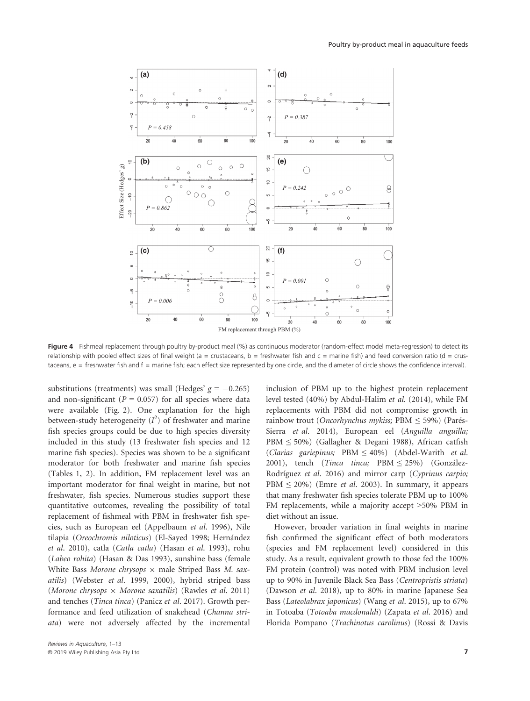

Figure 4 Fishmeal replacement through poultry by-product meal (%) as continuous moderator (random-effect model meta-regression) to detect its relationship with pooled effect sizes of final weight (a = crustaceans, b = freshwater fish and c = marine fish) and feed conversion ratio (d = crustaceans, e = freshwater fish and f = marine fish; each effect size represented by one circle, and the diameter of circle shows the confidence interval).

substitutions (treatments) was small (Hedges'  $g = -0.265$ ) and non-significant ( $P = 0.057$ ) for all species where data were available (Fig. 2). One explanation for the high between-study heterogeneity  $(I^2)$  of freshwater and marine fish species groups could be due to high species diversity included in this study (13 freshwater fish species and 12 marine fish species). Species was shown to be a significant moderator for both freshwater and marine fish species (Tables 1, 2). In addition, FM replacement level was an important moderator for final weight in marine, but not freshwater, fish species. Numerous studies support these quantitative outcomes, revealing the possibility of total replacement of fishmeal with PBM in freshwater fish species, such as European eel (Appelbaum et al. 1996), Nile tilapia (Oreochromis niloticus) (El-Sayed 1998; Hernández et al. 2010), catla (Catla catla) (Hasan et al. 1993), rohu (Labeo rohita) (Hasan & Das 1993), sunshine bass (female White Bass Morone chrysops  $\times$  male Striped Bass M. saxatilis) (Webster et al. 1999, 2000), hybrid striped bass (Morone chrysops  $\times$  Morone saxatilis) (Rawles et al. 2011) and tenches (Tinca tinca) (Panicz et al. 2017). Growth performance and feed utilization of snakehead (Channa striata) were not adversely affected by the incremental

inclusion of PBM up to the highest protein replacement level tested (40%) by Abdul-Halim et al. (2014), while FM replacements with PBM did not compromise growth in rainbow trout (Oncorhynchus mykiss; PBM  $\leq$  59%) (Parés-Sierra et al. 2014), European eel (Anguilla anguilla; PBM ≤ 50%) (Gallagher & Degani 1988), African catfish (Clarias gariepinus; PBM  $\leq 40\%$ ) (Abdel-Warith et al. 2001), tench (Tinca tinca; PBM  $\leq$  25%) (González-Rodríguez et al. 2016) and mirror carp (Cyprinus carpio; PBM  $\leq$  20%) (Emre *et al.* 2003). In summary, it appears that many freshwater fish species tolerate PBM up to 100% FM replacements, while a majority accept >50% PBM in diet without an issue.

However, broader variation in final weights in marine fish confirmed the significant effect of both moderators (species and FM replacement level) considered in this study. As a result, equivalent growth to those fed the 100% FM protein (control) was noted with PBM inclusion level up to 90% in Juvenile Black Sea Bass (Centropristis striata) (Dawson et al. 2018), up to 80% in marine Japanese Sea Bass (Lateolabrax japonicus) (Wang et al. 2015), up to 67% in Totoaba (Totoaba macdonaldi) (Zapata et al. 2016) and Florida Pompano (Trachinotus carolinus) (Rossi & Davis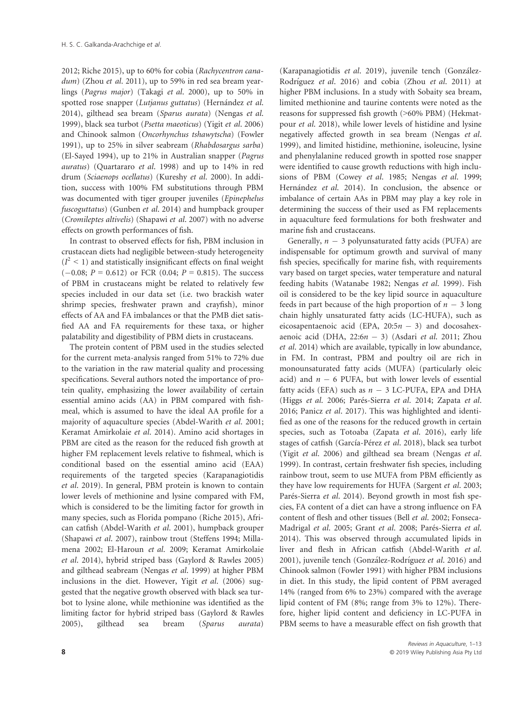2012; Riche 2015), up to 60% for cobia (Rachycentron canadum) (Zhou et al. 2011), up to 59% in red sea bream yearlings (Pagrus major) (Takagi et al. 2000), up to 50% in spotted rose snapper (*Lutjanus guttatus*) (Hernández *et al*. 2014), gilthead sea bream (Sparus aurata) (Nengas et al. 1999), black sea turbot (Psetta maeoticus) (Yigit et al. 2006) and Chinook salmon (Oncorhynchus tshawytscha) (Fowler 1991), up to 25% in silver seabream (Rhabdosargus sarba) (El-Sayed 1994), up to 21% in Australian snapper (Pagrus auratus) (Quartararo et al. 1998) and up to 14% in red drum (Sciaenops ocellatus) (Kureshy et al. 2000). In addition, success with 100% FM substitutions through PBM was documented with tiger grouper juveniles (Epinephelus fuscoguttatus) (Gunben et al. 2014) and humpback grouper (Cromileptes altivelis) (Shapawi et al. 2007) with no adverse effects on growth performances of fish.

In contrast to observed effects for fish, PBM inclusion in crustacean diets had negligible between-study heterogeneity  $(I<sup>2</sup> < 1)$  and statistically insignificant effects on final weight  $(-0.08; P = 0.612)$  or FCR (0.04;  $P = 0.815$ ). The success of PBM in crustaceans might be related to relatively few species included in our data set (i.e. two brackish water shrimp species, freshwater prawn and crayfish), minor effects of AA and FA imbalances or that the PMB diet satisfied AA and FA requirements for these taxa, or higher palatability and digestibility of PBM diets in crustaceans.

The protein content of PBM used in the studies selected for the current meta-analysis ranged from 51% to 72% due to the variation in the raw material quality and processing specifications. Several authors noted the importance of protein quality, emphasizing the lower availability of certain essential amino acids (AA) in PBM compared with fishmeal, which is assumed to have the ideal AA profile for a majority of aquaculture species (Abdel-Warith et al. 2001; Keramat Amirkolaie et al. 2014). Amino acid shortages in PBM are cited as the reason for the reduced fish growth at higher FM replacement levels relative to fishmeal, which is conditional based on the essential amino acid (EAA) requirements of the targeted species (Karapanagiotidis et al. 2019). In general, PBM protein is known to contain lower levels of methionine and lysine compared with FM, which is considered to be the limiting factor for growth in many species, such as Florida pompano (Riche 2015), African catfish (Abdel-Warith et al. 2001), humpback grouper (Shapawi et al. 2007), rainbow trout (Steffens 1994; Millamena 2002; El-Haroun et al. 2009; Keramat Amirkolaie et al. 2014), hybrid striped bass (Gaylord & Rawles 2005) and gilthead seabream (Nengas et al. 1999) at higher PBM inclusions in the diet. However, Yigit et al. (2006) suggested that the negative growth observed with black sea turbot to lysine alone, while methionine was identified as the limiting factor for hybrid striped bass (Gaylord & Rawles 2005), gilthead sea bream (Sparus aurata)

(Karapanagiotidis et al. 2019), juvenile tench (González-Rodríguez *et al.* 2016) and cobia (Zhou *et al.* 2011) at higher PBM inclusions. In a study with Sobaity sea bream, limited methionine and taurine contents were noted as the reasons for suppressed fish growth (>60% PBM) (Hekmatpour et al. 2018), while lower levels of histidine and lysine negatively affected growth in sea bream (Nengas et al. 1999), and limited histidine, methionine, isoleucine, lysine and phenylalanine reduced growth in spotted rose snapper were identified to cause growth reductions with high inclusions of PBM (Cowey et al. 1985; Nengas et al. 1999; Hernández et al. 2014). In conclusion, the absence or imbalance of certain AAs in PBM may play a key role in determining the success of their used as FM replacements in aquaculture feed formulations for both freshwater and marine fish and crustaceans.

Generally,  $n - 3$  polyunsaturated fatty acids (PUFA) are indispensable for optimum growth and survival of many fish species, specifically for marine fish, with requirements vary based on target species, water temperature and natural feeding habits (Watanabe 1982; Nengas et al. 1999). Fish oil is considered to be the key lipid source in aquaculture feeds in part because of the high proportion of  $n-3$  long chain highly unsaturated fatty acids (LC-HUFA), such as eicosapentaenoic acid (EPA,  $20:5n - 3$ ) and docosahexaenoic acid (DHA,  $22:6n-3$ ) (Asdari *et al.* 2011; Zhou et al. 2014) which are available, typically in low abundance, in FM. In contrast, PBM and poultry oil are rich in monounsaturated fatty acids (MUFA) (particularly oleic acid) and  $n-6$  PUFA, but with lower levels of essential fatty acids (EFA) such as  $n-3$  LC-PUFA, EPA and DHA (Higgs et al. 2006; Parés-Sierra et al. 2014; Zapata et al. 2016; Panicz et al. 2017). This was highlighted and identified as one of the reasons for the reduced growth in certain species, such as Totoaba (Zapata et al. 2016), early life stages of catfish (García-Pérez et al. 2018), black sea turbot (Yigit et al. 2006) and gilthead sea bream (Nengas et al. 1999). In contrast, certain freshwater fish species, including rainbow trout, seem to use MUFA from PBM efficiently as they have low requirements for HUFA (Sargent et al. 2003; Parés-Sierra et al. 2014). Beyond growth in most fish species, FA content of a diet can have a strong influence on FA content of flesh and other tissues (Bell et al. 2002; Fonseca-Madrigal et al. 2005; Grant et al. 2008; Parés-Sierra et al. 2014). This was observed through accumulated lipids in liver and flesh in African catfish (Abdel-Warith et al. 2001), juvenile tench (González-Rodríguez et al. 2016) and Chinook salmon (Fowler 1991) with higher PBM inclusions in diet. In this study, the lipid content of PBM averaged 14% (ranged from 6% to 23%) compared with the average lipid content of FM (8%; range from 3% to 12%). Therefore, higher lipid content and deficiency in LC-PUFA in PBM seems to have a measurable effect on fish growth that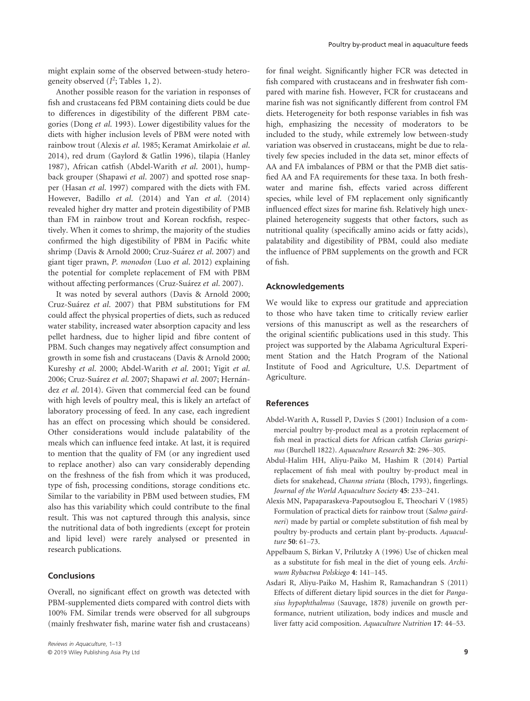might explain some of the observed between-study heterogeneity observed  $(I^2; \text{Tables } 1, 2)$ .

Another possible reason for the variation in responses of fish and crustaceans fed PBM containing diets could be due to differences in digestibility of the different PBM categories (Dong et al. 1993). Lower digestibility values for the diets with higher inclusion levels of PBM were noted with rainbow trout (Alexis et al. 1985; Keramat Amirkolaie et al. 2014), red drum (Gaylord & Gatlin 1996), tilapia (Hanley 1987), African catfish (Abdel-Warith et al. 2001), humpback grouper (Shapawi et al. 2007) and spotted rose snapper (Hasan et al. 1997) compared with the diets with FM. However, Badillo et al. (2014) and Yan et al. (2014) revealed higher dry matter and protein digestibility of PMB than FM in rainbow trout and Korean rockfish, respectively. When it comes to shrimp, the majority of the studies confirmed the high digestibility of PBM in Pacific white shrimp (Davis & Arnold 2000; Cruz-Suárez *et al*. 2007) and giant tiger prawn, P. monodon (Luo et al. 2012) explaining the potential for complete replacement of FM with PBM without affecting performances (Cruz-Suárez *et al*. 2007).

It was noted by several authors (Davis & Arnold 2000; Cruz-Suárez *et al*. 2007) that PBM substitutions for FM could affect the physical properties of diets, such as reduced water stability, increased water absorption capacity and less pellet hardness, due to higher lipid and fibre content of PBM. Such changes may negatively affect consumption and growth in some fish and crustaceans (Davis & Arnold 2000; Kureshy et al. 2000; Abdel-Warith et al. 2001; Yigit et al. 2006; Cruz-Suárez *et al*. 2007; Shapawi *et al*. 2007; Hernández et al. 2014). Given that commercial feed can be found with high levels of poultry meal, this is likely an artefact of laboratory processing of feed. In any case, each ingredient has an effect on processing which should be considered. Other considerations would include palatability of the meals which can influence feed intake. At last, it is required to mention that the quality of FM (or any ingredient used to replace another) also can vary considerably depending on the freshness of the fish from which it was produced, type of fish, processing conditions, storage conditions etc. Similar to the variability in PBM used between studies, FM also has this variability which could contribute to the final result. This was not captured through this analysis, since the nutritional data of both ingredients (except for protein and lipid level) were rarely analysed or presented in research publications.

## **Conclusions**

Overall, no significant effect on growth was detected with PBM-supplemented diets compared with control diets with 100% FM. Similar trends were observed for all subgroups (mainly freshwater fish, marine water fish and crustaceans)

for final weight. Significantly higher FCR was detected in fish compared with crustaceans and in freshwater fish compared with marine fish. However, FCR for crustaceans and marine fish was not significantly different from control FM diets. Heterogeneity for both response variables in fish was high, emphasizing the necessity of moderators to be included to the study, while extremely low between-study variation was observed in crustaceans, might be due to relatively few species included in the data set, minor effects of AA and FA imbalances of PBM or that the PMB diet satisfied AA and FA requirements for these taxa. In both freshwater and marine fish, effects varied across different species, while level of FM replacement only significantly influenced effect sizes for marine fish. Relatively high unexplained heterogeneity suggests that other factors, such as nutritional quality (specifically amino acids or fatty acids), palatability and digestibility of PBM, could also mediate the influence of PBM supplements on the growth and FCR of fish.

#### Acknowledgements

We would like to express our gratitude and appreciation to those who have taken time to critically review earlier versions of this manuscript as well as the researchers of the original scientific publications used in this study. This project was supported by the Alabama Agricultural Experiment Station and the Hatch Program of the National Institute of Food and Agriculture, U.S. Department of Agriculture.

## References

- Abdel-Warith A, Russell P, Davies S (2001) Inclusion of a commercial poultry by-product meal as a protein replacement of fish meal in practical diets for African catfish Clarias gariepinus (Burchell 1822). Aquaculture Research 32: 296–305.
- Abdul-Halim HH, Aliyu-Paiko M, Hashim R (2014) Partial replacement of fish meal with poultry by-product meal in diets for snakehead, Channa striata (Bloch, 1793), fingerlings. Journal of the World Aquaculture Society 45: 233–241.
- Alexis MN, Papaparaskeva-Papoutsoglou E, Theochari V (1985) Formulation of practical diets for rainbow trout (Salmo gairdneri) made by partial or complete substitution of fish meal by poultry by-products and certain plant by-products. Aquaculture 50: 61–73.
- Appelbaum S, Birkan V, Prilutzky A (1996) Use of chicken meal as a substitute for fish meal in the diet of young eels. Archiwum Rybactwa Polskiego 4: 141–145.
- Asdari R, Aliyu-Paiko M, Hashim R, Ramachandran S (2011) Effects of different dietary lipid sources in the diet for Pangasius hypophthalmus (Sauvage, 1878) juvenile on growth performance, nutrient utilization, body indices and muscle and liver fatty acid composition. Aquaculture Nutrition 17: 44–53.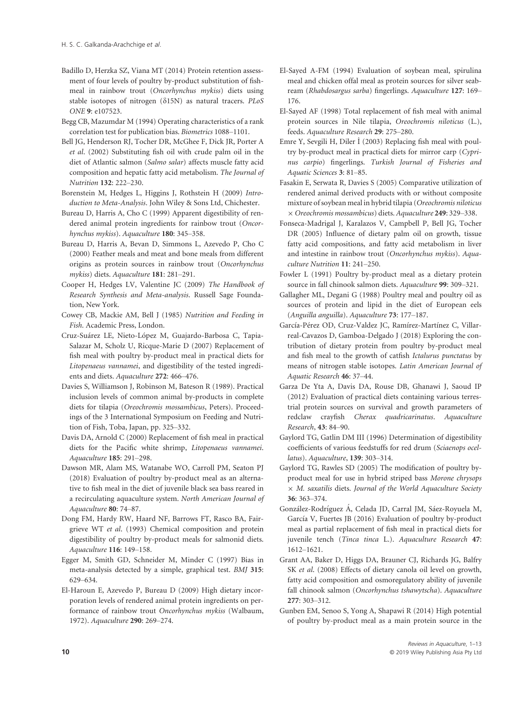- Badillo D, Herzka SZ, Viana MT (2014) Protein retention assessment of four levels of poultry by-product substitution of fishmeal in rainbow trout (Oncorhynchus mykiss) diets using stable isotopes of nitrogen  $(\delta15N)$  as natural tracers. PLoS ONE 9: e107523.
- Begg CB, Mazumdar M (1994) Operating characteristics of a rank correlation test for publication bias. Biometrics 1088–1101.
- Bell JG, Henderson RJ, Tocher DR, McGhee F, Dick JR, Porter A et al. (2002) Substituting fish oil with crude palm oil in the diet of Atlantic salmon (Salmo salar) affects muscle fatty acid composition and hepatic fatty acid metabolism. The Journal of Nutrition 132: 222–230.
- Borenstein M, Hedges L, Higgins J, Rothstein H (2009) Introduction to Meta-Analysis. John Wiley & Sons Ltd, Chichester.
- Bureau D, Harris A, Cho C (1999) Apparent digestibility of rendered animal protein ingredients for rainbow trout (Oncorhynchus mykiss). Aquaculture 180: 345–358.
- Bureau D, Harris A, Bevan D, Simmons L, Azevedo P, Cho C (2000) Feather meals and meat and bone meals from different origins as protein sources in rainbow trout (Oncorhynchus mykiss) diets. Aquaculture 181: 281–291.
- Cooper H, Hedges LV, Valentine JC (2009) The Handbook of Research Synthesis and Meta-analysis. Russell Sage Foundation, New York.
- Cowey CB, Mackie AM, Bell J (1985) Nutrition and Feeding in Fish. Academic Press, London.
- Cruz-Suárez LE, Nieto-López M, Guajardo-Barbosa C, Tapia-Salazar M, Scholz U, Ricque-Marie D (2007) Replacement of fish meal with poultry by-product meal in practical diets for Litopenaeus vannamei, and digestibility of the tested ingredients and diets. Aquaculture 272: 466–476.
- Davies S, Williamson J, Robinson M, Bateson R (1989). Practical inclusion levels of common animal by-products in complete diets for tilapia (Oreochromis mossambicus, Peters). Proceedings of the 3 International Symposium on Feeding and Nutrition of Fish, Toba, Japan, pp. 325–332.
- Davis DA, Arnold C (2000) Replacement of fish meal in practical diets for the Pacific white shrimp, Litopenaeus vannamei. Aquaculture 185: 291–298.
- Dawson MR, Alam MS, Watanabe WO, Carroll PM, Seaton PJ (2018) Evaluation of poultry by-product meal as an alternative to fish meal in the diet of juvenile black sea bass reared in a recirculating aquaculture system. North American Journal of Aquaculture 80: 74–87.
- Dong FM, Hardy RW, Haard NF, Barrows FT, Rasco BA, Fairgrieve WT et al. (1993) Chemical composition and protein digestibility of poultry by-product meals for salmonid diets. Aquaculture 116: 149–158.
- Egger M, Smith GD, Schneider M, Minder C (1997) Bias in meta-analysis detected by a simple, graphical test. BMJ 315: 629–634.
- El-Haroun E, Azevedo P, Bureau D (2009) High dietary incorporation levels of rendered animal protein ingredients on performance of rainbow trout Oncorhynchus mykiss (Walbaum, 1972). Aquaculture 290: 269–274.
- El-Sayed A-FM (1994) Evaluation of soybean meal, spirulina meal and chicken offal meal as protein sources for silver seabream (Rhabdosargus sarba) fingerlings. Aquaculture 127: 169– 176.
- El-Sayed AF (1998) Total replacement of fish meal with animal protein sources in Nile tilapia, Oreochromis niloticus (L.), feeds. Aquaculture Research 29: 275–280.
- Emre Y, Sevgili H, Diler İ (2003) Replacing fish meal with poultry by-product meal in practical diets for mirror carp (Cyprinus carpio) fingerlings. Turkish Journal of Fisheries and Aquatic Sciences 3: 81–85.
- Fasakin E, Serwata R, Davies S (2005) Comparative utilization of rendered animal derived products with or without composite mixture of soybean meal in hybrid tilapia (Oreochromis niloticus  $\times$  Oreochromis mossambicus) diets. Aquaculture 249: 329–338.
- Fonseca-Madrigal J, Karalazos V, Campbell P, Bell JG, Tocher DR (2005) Influence of dietary palm oil on growth, tissue fatty acid compositions, and fatty acid metabolism in liver and intestine in rainbow trout (Oncorhynchus mykiss). Aquaculture Nutrition 11: 241–250.
- Fowler L (1991) Poultry by-product meal as a dietary protein source in fall chinook salmon diets. Aquaculture 99: 309–321.
- Gallagher ML, Degani G (1988) Poultry meal and poultry oil as sources of protein and lipid in the diet of European eels (Anguilla anguilla). Aquaculture 73: 177–187.
- García-Pérez OD, Cruz-Valdez JC, Ramírez-Martínez C, Villarreal-Cavazos D, Gamboa-Delgado J (2018) Exploring the contribution of dietary protein from poultry by-product meal and fish meal to the growth of catfish Ictalurus punctatus by means of nitrogen stable isotopes. Latin American Journal of Aquatic Research 46: 37–44.
- Garza De Yta A, Davis DA, Rouse DB, Ghanawi J, Saoud IP (2012) Evaluation of practical diets containing various terrestrial protein sources on survival and growth parameters of redclaw crayfish Cherax quadricarinatus. Aquaculture Research, 43: 84–90.
- Gaylord TG, Gatlin DM III (1996) Determination of digestibility coefficients of various feedstuffs for red drum (Sciaenops ocellatus). Aquaculture, 139: 303–314.
- Gaylord TG, Rawles SD (2005) The modification of poultry byproduct meal for use in hybrid striped bass Morone chrysops  $\times$  M. saxatilis diets. Journal of the World Aquaculture Society 36: 363–374.
- González-Rodríguez Á, Celada JD, Carral JM, Sáez-Royuela M, García V, Fuertes JB (2016) Evaluation of poultry by-product meal as partial replacement of fish meal in practical diets for juvenile tench (Tinca tinca L.). Aquaculture Research 47: 1612–1621.
- Grant AA, Baker D, Higgs DA, Brauner CJ, Richards JG, Balfry SK et al. (2008) Effects of dietary canola oil level on growth, fatty acid composition and osmoregulatory ability of juvenile fall chinook salmon (Oncorhynchus tshawytscha). Aquaculture 277: 303–312.
- Gunben EM, Senoo S, Yong A, Shapawi R (2014) High potential of poultry by-product meal as a main protein source in the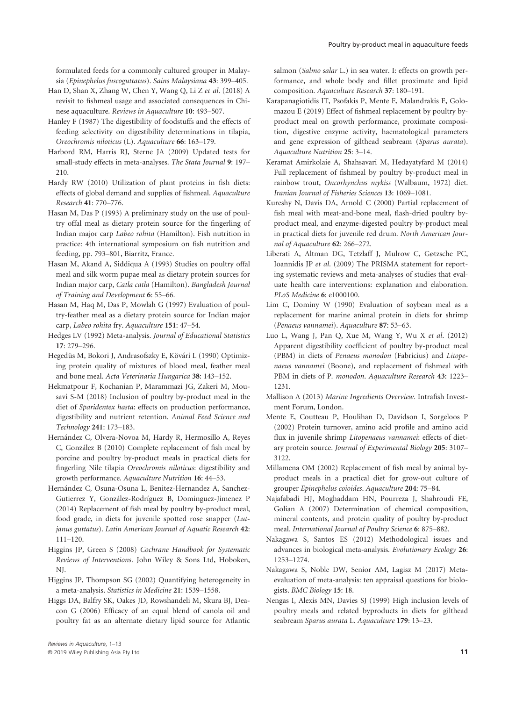formulated feeds for a commonly cultured grouper in Malaysia (Epinephelus fuscoguttatus). Sains Malaysiana 43: 399–405.

- Han D, Shan X, Zhang W, Chen Y, Wang Q, Li Z et al. (2018) A revisit to fishmeal usage and associated consequences in Chinese aquaculture. Reviews in Aquaculture 10: 493–507.
- Hanley F (1987) The digestibility of foodstuffs and the effects of feeding selectivity on digestibility determinations in tilapia, Oreochromis niloticus (L). Aquaculture 66: 163–179.
- Harbord RM, Harris RJ, Sterne JA (2009) Updated tests for small-study effects in meta-analyses. The Stata Journal 9: 197– 210.
- Hardy RW (2010) Utilization of plant proteins in fish diets: effects of global demand and supplies of fishmeal. Aquaculture Research 41: 770–776.
- Hasan M, Das P (1993) A preliminary study on the use of poultry offal meal as dietary protein source for the fingerling of Indian major carp Labeo rohita (Hamilton). Fish nutrition in practice: 4th international symposium on fish nutrition and feeding, pp. 793–801, Biarritz, France.
- Hasan M, Akand A, Siddiqua A (1993) Studies on poultry offal meal and silk worm pupae meal as dietary protein sources for Indian major carp, Catla catla (Hamilton). Bangladesh Journal of Training and Development 6: 55–66.
- Hasan M, Haq M, Das P, Mowlah G (1997) Evaluation of poultry-feather meal as a dietary protein source for Indian major carp, Labeo rohita fry. Aquaculture 151: 47–54.
- Hedges LV (1992) Meta-analysis. Journal of Educational Statistics 17: 279–296.
- Hegedüs M, Bokori J, Andrasofszky E, Kövári L (1990) Optimizing protein quality of mixtures of blood meal, feather meal and bone meal. Acta Veterinaria Hungarica 38: 143–152.
- Hekmatpour F, Kochanian P, Marammazi JG, Zakeri M, Mousavi S-M (2018) Inclusion of poultry by-product meal in the diet of Sparidentex hasta: effects on production performance, digestibility and nutrient retention. Animal Feed Science and Technology 241: 173–183.
- Hernández C, Olvera-Novoa M, Hardy R, Hermosillo A, Reyes C, González B (2010) Complete replacement of fish meal by porcine and poultry by-product meals in practical diets for fingerling Nile tilapia Oreochromis niloticus: digestibility and growth performance. Aquaculture Nutrition 16: 44–53.
- Hernández C, Osuna-Osuna L, Benitez-Hernandez A, Sanchez-Gutierrez Y, González-Rodríguez B, Dominguez-Jimenez P (2014) Replacement of fish meal by poultry by-product meal, food grade, in diets for juvenile spotted rose snapper (Lutjanus guttatus). Latin American Journal of Aquatic Research 42: 111–120.
- Higgins JP, Green S (2008) Cochrane Handbook for Systematic Reviews of Interventions. John Wiley & Sons Ltd, Hoboken, NJ.
- Higgins JP, Thompson SG (2002) Quantifying heterogeneity in a meta-analysis. Statistics in Medicine 21: 1539–1558.
- Higgs DA, Balfry SK, Oakes JD, Rowshandeli M, Skura BJ, Deacon G (2006) Efficacy of an equal blend of canola oil and poultry fat as an alternate dietary lipid source for Atlantic

salmon (Salmo salar L.) in sea water. I: effects on growth performance, and whole body and fillet proximate and lipid composition. Aquaculture Research 37: 180–191.

- Karapanagiotidis IT, Psofakis P, Mente E, Malandrakis E, Golomazou E (2019) Effect of fishmeal replacement by poultry byproduct meal on growth performance, proximate composition, digestive enzyme activity, haematological parameters and gene expression of gilthead seabream (Sparus aurata). Aquaculture Nutrition 25: 3–14.
- Keramat Amirkolaie A, Shahsavari M, Hedayatyfard M (2014) Full replacement of fishmeal by poultry by-product meal in rainbow trout, Oncorhynchus mykiss (Walbaum, 1972) diet. Iranian Journal of Fisheries Sciences 13: 1069–1081.
- Kureshy N, Davis DA, Arnold C (2000) Partial replacement of fish meal with meat-and-bone meal, flash-dried poultry byproduct meal, and enzyme-digested poultry by-product meal in practical diets for juvenile red drum. North American Journal of Aquaculture 62: 266–272.
- Liberati A, Altman DG, Tetzlaff J, Mulrow C, Gøtzsche PC, Ioannidis JP et al. (2009) The PRISMA statement for reporting systematic reviews and meta-analyses of studies that evaluate health care interventions: explanation and elaboration. PLoS Medicine 6: e1000100.
- Lim C, Dominy W (1990) Evaluation of soybean meal as a replacement for marine animal protein in diets for shrimp (Penaeus vannamei). Aquaculture 87: 53–63.
- Luo L, Wang J, Pan Q, Xue M, Wang Y, Wu X et al. (2012) Apparent digestibility coefficient of poultry by-product meal (PBM) in diets of Penaeus monodon (Fabricius) and Litopenaeus vannamei (Boone), and replacement of fishmeal with PBM in diets of P. monodon. Aquaculture Research 43: 1223– 1231.
- Mallison A (2013) Marine Ingredients Overview. Intrafish Investment Forum, London.
- Mente E, Coutteau P, Houlihan D, Davidson I, Sorgeloos P (2002) Protein turnover, amino acid profile and amino acid flux in juvenile shrimp Litopenaeus vannamei: effects of dietary protein source. Journal of Experimental Biology 205: 3107– 3122.
- Millamena OM (2002) Replacement of fish meal by animal byproduct meals in a practical diet for grow-out culture of grouper Epinephelus coioides. Aquaculture 204: 75–84.
- Najafabadi HJ, Moghaddam HN, Pourreza J, Shahroudi FE, Golian A (2007) Determination of chemical composition, mineral contents, and protein quality of poultry by-product meal. International Journal of Poultry Science 6: 875–882.
- Nakagawa S, Santos ES (2012) Methodological issues and advances in biological meta-analysis. Evolutionary Ecology 26: 1253–1274.
- Nakagawa S, Noble DW, Senior AM, Lagisz M (2017) Metaevaluation of meta-analysis: ten appraisal questions for biologists. BMC Biology 15: 18.
- Nengas I, Alexis MN, Davies SJ (1999) High inclusion levels of poultry meals and related byproducts in diets for gilthead seabream Sparus aurata L. Aquaculture 179: 13–23.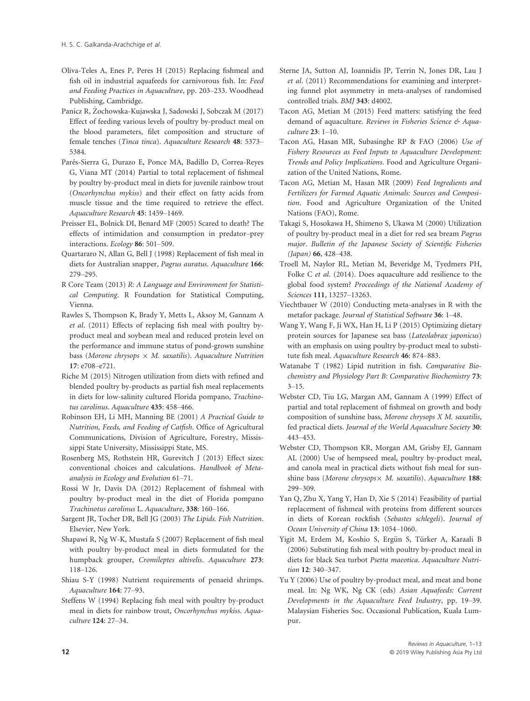- Oliva-Teles A, Enes P, Peres H (2015) Replacing fishmeal and fish oil in industrial aquafeeds for carnivorous fish. In: Feed and Feeding Practices in Aquaculture, pp. 203–233. Woodhead Publishing, Cambridge.
- Panicz R, Zochowska-Kujawska J, Sadowski J, Sobczak M (2017) \_ Effect of feeding various levels of poultry by-product meal on the blood parameters, filet composition and structure of female tenches (Tinca tinca). Aquaculture Research 48: 5373– 5384.
- Parés-Sierra G, Durazo E, Ponce MA, Badillo D, Correa-Reyes G, Viana MT (2014) Partial to total replacement of fishmeal by poultry by-product meal in diets for juvenile rainbow trout (Oncorhynchus mykiss) and their effect on fatty acids from muscle tissue and the time required to retrieve the effect. Aquaculture Research 45: 1459–1469.
- Preisser EL, Bolnick DI, Benard MF (2005) Scared to death? The effects of intimidation and consumption in predator–prey interactions. Ecology 86: 501–509.
- Quartararo N, Allan G, Bell J (1998) Replacement of fish meal in diets for Australian snapper, Pagrus auratus. Aquaculture 166: 279–295.
- R Core Team (2013) R: A Language and Environment for Statistical Computing. R Foundation for Statistical Computing, Vienna.
- Rawles S, Thompson K, Brady Y, Metts L, Aksoy M, Gannam A et al. (2011) Effects of replacing fish meal with poultry byproduct meal and soybean meal and reduced protein level on the performance and immune status of pond-grown sunshine bass (Morone chrysops  $\times$  M. saxatilis). Aquaculture Nutrition 17: e708–e721.
- Riche M (2015) Nitrogen utilization from diets with refined and blended poultry by-products as partial fish meal replacements in diets for low-salinity cultured Florida pompano, Trachinotus carolinus. Aquaculture 435: 458–466.
- Robinson EH, Li MH, Manning BE (2001) A Practical Guide to Nutrition, Feeds, and Feeding of Catfish. Office of Agricultural Communications, Division of Agriculture, Forestry, Mississippi State University, Mississippi State, MS.
- Rosenberg MS, Rothstein HR, Gurevitch J (2013) Effect sizes: conventional choices and calculations. Handbook of Metaanalysis in Ecology and Evolution 61–71.
- Rossi W Jr, Davis DA (2012) Replacement of fishmeal with poultry by-product meal in the diet of Florida pompano Trachinotus carolinus L. Aquaculture, 338: 160–166.
- Sargent JR, Tocher DR, Bell JG (2003) The Lipids. Fish Nutrition. Elsevier, New York.
- Shapawi R, Ng W-K, Mustafa S (2007) Replacement of fish meal with poultry by-product meal in diets formulated for the humpback grouper, Cromileptes altivelis. Aquaculture 273: 118–126.
- Shiau S-Y (1998) Nutrient requirements of penaeid shrimps. Aquaculture 164: 77–93.
- Steffens W (1994) Replacing fish meal with poultry by-product meal in diets for rainbow trout, Oncorhynchus mykiss. Aquaculture 124: 27–34.
- Sterne JA, Sutton AJ, Ioannidis JP, Terrin N, Jones DR, Lau J et al. (2011) Recommendations for examining and interpreting funnel plot asymmetry in meta-analyses of randomised controlled trials. BMJ 343: d4002.
- Tacon AG, Metian M (2015) Feed matters: satisfying the feed demand of aquaculture. Reviews in Fisheries Science & Aquaculture 23: 1–10.
- Tacon AG, Hasan MR, Subasinghe RP & FAO (2006) Use of Fishery Resources as Feed Inputs to Aquaculture Development: Trends and Policy Implications. Food and Agriculture Organization of the United Nations, Rome.
- Tacon AG, Metian M, Hasan MR (2009) Feed Ingredients and Fertilizers for Farmed Aquatic Animals: Sources and Composition. Food and Agriculture Organization of the United Nations (FAO), Rome.
- Takagi S, Hosokawa H, Shimeno S, Ukawa M (2000) Utilization of poultry by-product meal in a diet for red sea bream Pagrus major. Bulletin of the Japanese Society of Scientific Fisheries (Japan) 66, 428–438.
- Troell M, Naylor RL, Metian M, Beveridge M, Tyedmers PH, Folke C et al. (2014). Does aquaculture add resilience to the global food system? Proceedings of the National Academy of Sciences 111, 13257–13263.
- Viechtbauer W (2010) Conducting meta-analyses in R with the metafor package. Journal of Statistical Software 36: 1–48.
- Wang Y, Wang F, Ji WX, Han H, Li P (2015) Optimizing dietary protein sources for Japanese sea bass (Lateolabrax japonicus) with an emphasis on using poultry by-product meal to substitute fish meal. Aquaculture Research 46: 874–883.
- Watanabe T (1982) Lipid nutrition in fish. Comparative Biochemistry and Physiology Part B: Comparative Biochemistry 73:  $3 - 15$ .
- Webster CD, Tiu LG, Margan AM, Gannam A (1999) Effect of partial and total replacement of fishmeal on growth and body composition of sunshine bass, Morone chrysops X M. saxatilis, fed practical diets. Journal of the World Aquaculture Society 30: 443–453.
- Webster CD, Thompson KR, Morgan AM, Grisby EJ, Gannam AL (2000) Use of hempseed meal, poultry by-product meal, and canola meal in practical diets without fish meal for sunshine bass (Morone chrysops $\times$  M. saxatilis). Aquaculture 188: 299–309.
- Yan Q, Zhu X, Yang Y, Han D, Xie S (2014) Feasibility of partial replacement of fishmeal with proteins from different sources in diets of Korean rockfish (Sebastes schlegeli). Journal of Ocean University of China 13: 1054–1060.
- Yigit M, Erdem M, Koshio S, Ergün S, Türker A, Karaali B (2006) Substituting fish meal with poultry by-product meal in diets for black Sea turbot Psetta maeotica. Aquaculture Nutrition 12: 340–347.
- Yu Y (2006) Use of poultry by-product meal, and meat and bone meal. In: Ng WK, Ng CK (eds) Asian Aquafeeds: Current Developments in the Aquaculture Feed Industry, pp. 19–39. Malaysian Fisheries Soc. Occasional Publication, Kuala Lumpur.